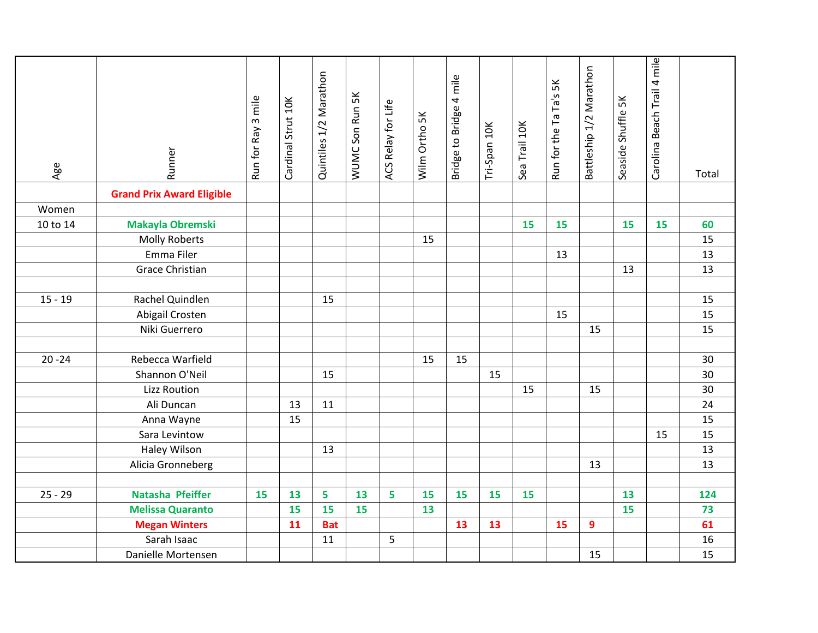| Age       | Runner                           | 3 mile<br>Run for Ray | Cardinal Strut 10K | Quintiles 1/2 Marathon | WUMC Son Run 5K | ACS Relay for Life | Wilm Ortho 5K | Bridge to Bridge 4 mile | Tri-Span 10K | Sea Trail 10K | Run for the Ta Ta's 5K | Battleship 1/2 Marathon | 5 <sup>K</sup><br>Seaside Shuffle | Carolina Beach Trail 4 mile | Total |
|-----------|----------------------------------|-----------------------|--------------------|------------------------|-----------------|--------------------|---------------|-------------------------|--------------|---------------|------------------------|-------------------------|-----------------------------------|-----------------------------|-------|
|           | <b>Grand Prix Award Eligible</b> |                       |                    |                        |                 |                    |               |                         |              |               |                        |                         |                                   |                             |       |
| Women     |                                  |                       |                    |                        |                 |                    |               |                         |              |               |                        |                         |                                   |                             |       |
| 10 to 14  | Makayla Obremski                 |                       |                    |                        |                 |                    |               |                         |              | 15            | 15                     |                         | 15                                | 15                          | 60    |
|           | <b>Molly Roberts</b>             |                       |                    |                        |                 |                    | 15            |                         |              |               |                        |                         |                                   |                             | 15    |
|           | Emma Filer                       |                       |                    |                        |                 |                    |               |                         |              |               | 13                     |                         |                                   |                             | 13    |
|           | <b>Grace Christian</b>           |                       |                    |                        |                 |                    |               |                         |              |               |                        |                         | 13                                |                             | 13    |
|           |                                  |                       |                    |                        |                 |                    |               |                         |              |               |                        |                         |                                   |                             |       |
| $15 - 19$ | Rachel Quindlen                  |                       |                    | 15                     |                 |                    |               |                         |              |               |                        |                         |                                   |                             | 15    |
|           | Abigail Crosten                  |                       |                    |                        |                 |                    |               |                         |              |               | 15                     |                         |                                   |                             | 15    |
|           | Niki Guerrero                    |                       |                    |                        |                 |                    |               |                         |              |               |                        | 15                      |                                   |                             | 15    |
|           |                                  |                       |                    |                        |                 |                    |               |                         |              |               |                        |                         |                                   |                             |       |
| $20 - 24$ | Rebecca Warfield                 |                       |                    |                        |                 |                    | 15            | 15                      |              |               |                        |                         |                                   |                             | 30    |
|           | Shannon O'Neil                   |                       |                    | 15                     |                 |                    |               |                         | 15           |               |                        |                         |                                   |                             | 30    |
|           | <b>Lizz Roution</b>              |                       |                    |                        |                 |                    |               |                         |              | 15            |                        | 15                      |                                   |                             | 30    |
|           | Ali Duncan                       |                       | 13                 | 11                     |                 |                    |               |                         |              |               |                        |                         |                                   |                             | 24    |
|           | Anna Wayne                       |                       | 15                 |                        |                 |                    |               |                         |              |               |                        |                         |                                   |                             | 15    |
|           | Sara Levintow                    |                       |                    |                        |                 |                    |               |                         |              |               |                        |                         |                                   | 15                          | 15    |
|           | <b>Haley Wilson</b>              |                       |                    | 13                     |                 |                    |               |                         |              |               |                        |                         |                                   |                             | 13    |
|           | Alicia Gronneberg                |                       |                    |                        |                 |                    |               |                         |              |               |                        | 13                      |                                   |                             | 13    |
|           |                                  |                       |                    |                        |                 |                    |               |                         |              |               |                        |                         |                                   |                             |       |
| $25 - 29$ | Natasha Pfeiffer                 | 15                    | 13                 | 5                      | 13              | 5                  | 15            | 15                      | 15           | 15            |                        |                         | 13                                |                             | 124   |
|           | <b>Melissa Quaranto</b>          |                       | 15                 | 15                     | 15              |                    | 13            |                         |              |               |                        |                         | 15                                |                             | 73    |
|           | <b>Megan Winters</b>             |                       | 11                 | <b>Bat</b>             |                 |                    |               | 13                      | 13           |               | 15                     | 9                       |                                   |                             | 61    |
|           | Sarah Isaac                      |                       |                    | 11                     |                 | 5                  |               |                         |              |               |                        |                         |                                   |                             | 16    |
|           | Danielle Mortensen               |                       |                    |                        |                 |                    |               |                         |              |               |                        | 15                      |                                   |                             | 15    |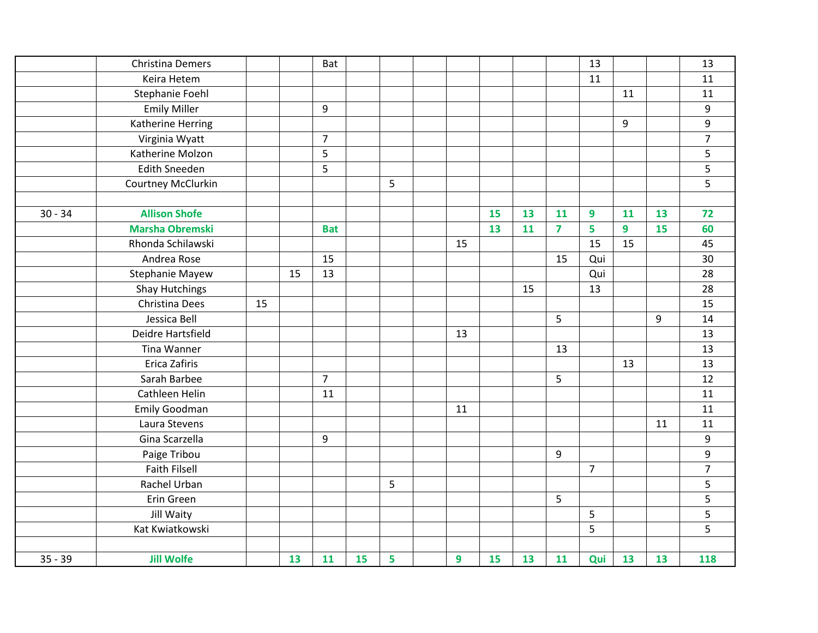|           | Christina Demers       |    |    | Bat            |    |   |    |    |    |                | 13             |                |    | 13               |
|-----------|------------------------|----|----|----------------|----|---|----|----|----|----------------|----------------|----------------|----|------------------|
|           | Keira Hetem            |    |    |                |    |   |    |    |    |                | 11             |                |    | 11               |
|           | Stephanie Foehl        |    |    |                |    |   |    |    |    |                |                | 11             |    | 11               |
|           | <b>Emily Miller</b>    |    |    | 9              |    |   |    |    |    |                |                |                |    | 9                |
|           | Katherine Herring      |    |    |                |    |   |    |    |    |                |                | 9              |    | 9                |
|           | Virginia Wyatt         |    |    | $\overline{7}$ |    |   |    |    |    |                |                |                |    | $\overline{7}$   |
|           | Katherine Molzon       |    |    | 5              |    |   |    |    |    |                |                |                |    | 5                |
|           | <b>Edith Sneeden</b>   |    |    | 5              |    |   |    |    |    |                |                |                |    | 5                |
|           | Courtney McClurkin     |    |    |                |    | 5 |    |    |    |                |                |                |    | 5                |
|           |                        |    |    |                |    |   |    |    |    |                |                |                |    |                  |
| $30 - 34$ | <b>Allison Shofe</b>   |    |    |                |    |   |    | 15 | 13 | 11             | 9              | 11             | 13 | 72               |
|           | <b>Marsha Obremski</b> |    |    | <b>Bat</b>     |    |   |    | 13 | 11 | $\overline{7}$ | 5              | $\overline{9}$ | 15 | 60               |
|           | Rhonda Schilawski      |    |    |                |    |   | 15 |    |    |                | 15             | 15             |    | 45               |
|           | Andrea Rose            |    |    | 15             |    |   |    |    |    | 15             | Qui            |                |    | 30               |
|           | <b>Stephanie Mayew</b> |    | 15 | 13             |    |   |    |    |    |                | Qui            |                |    | 28               |
|           | <b>Shay Hutchings</b>  |    |    |                |    |   |    |    | 15 |                | 13             |                |    | 28               |
|           | Christina Dees         | 15 |    |                |    |   |    |    |    |                |                |                |    | 15               |
|           | Jessica Bell           |    |    |                |    |   |    |    |    | 5              |                |                | 9  | 14               |
|           | Deidre Hartsfield      |    |    |                |    |   | 13 |    |    |                |                |                |    | 13               |
|           | Tina Wanner            |    |    |                |    |   |    |    |    | 13             |                |                |    | 13               |
|           | Erica Zafiris          |    |    |                |    |   |    |    |    |                |                | 13             |    | 13               |
|           | Sarah Barbee           |    |    | $\overline{7}$ |    |   |    |    |    | 5              |                |                |    | 12               |
|           | Cathleen Helin         |    |    | 11             |    |   |    |    |    |                |                |                |    | 11               |
|           | <b>Emily Goodman</b>   |    |    |                |    |   | 11 |    |    |                |                |                |    | 11               |
|           | Laura Stevens          |    |    |                |    |   |    |    |    |                |                |                | 11 | 11               |
|           | Gina Scarzella         |    |    | 9              |    |   |    |    |    |                |                |                |    | $\boldsymbol{9}$ |
|           | Paige Tribou           |    |    |                |    |   |    |    |    | 9              |                |                |    | 9                |
|           | <b>Faith Filsell</b>   |    |    |                |    |   |    |    |    |                | $\overline{7}$ |                |    | $\overline{7}$   |
|           | Rachel Urban           |    |    |                |    | 5 |    |    |    |                |                |                |    | 5                |
|           | Erin Green             |    |    |                |    |   |    |    |    | 5              |                |                |    | 5                |
|           | Jill Waity             |    |    |                |    |   |    |    |    |                | 5              |                |    | 5                |
|           | Kat Kwiatkowski        |    |    |                |    |   |    |    |    |                | 5              |                |    | 5                |
| $35 - 39$ | <b>Jill Wolfe</b>      |    | 13 | 11             | 15 | 5 | 9  | 15 | 13 | 11             | Qui            | 13             | 13 | 118              |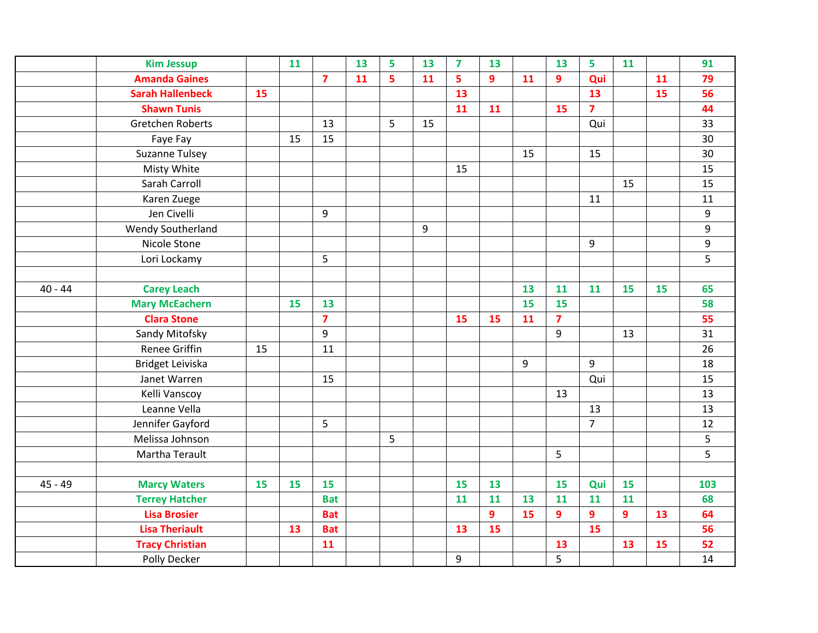|           | <b>Kim Jessup</b>       |    | 11        |                | 13 | 5 | 13 | $\overline{7}$ | 13             |    | 13                      | 5              | 11             |    | 91  |
|-----------|-------------------------|----|-----------|----------------|----|---|----|----------------|----------------|----|-------------------------|----------------|----------------|----|-----|
|           | <b>Amanda Gaines</b>    |    |           | $\overline{7}$ | 11 | 5 | 11 | 5              | $\overline{9}$ | 11 | 9                       | Qui            |                | 11 | 79  |
|           | <b>Sarah Hallenbeck</b> | 15 |           |                |    |   |    | 13             |                |    |                         | 13             |                | 15 | 56  |
|           | <b>Shawn Tunis</b>      |    |           |                |    |   |    | 11             | 11             |    | 15                      | $\overline{7}$ |                |    | 44  |
|           | Gretchen Roberts        |    |           | 13             |    | 5 | 15 |                |                |    |                         | Qui            |                |    | 33  |
|           | Faye Fay                |    | 15        | 15             |    |   |    |                |                |    |                         |                |                |    | 30  |
|           | <b>Suzanne Tulsey</b>   |    |           |                |    |   |    |                |                | 15 |                         | 15             |                |    | 30  |
|           | Misty White             |    |           |                |    |   |    | 15             |                |    |                         |                |                |    | 15  |
|           | Sarah Carroll           |    |           |                |    |   |    |                |                |    |                         |                | 15             |    | 15  |
|           | Karen Zuege             |    |           |                |    |   |    |                |                |    |                         | 11             |                |    | 11  |
|           | Jen Civelli             |    |           | 9              |    |   |    |                |                |    |                         |                |                |    | 9   |
|           | Wendy Southerland       |    |           |                |    |   | 9  |                |                |    |                         |                |                |    | 9   |
|           | Nicole Stone            |    |           |                |    |   |    |                |                |    |                         | 9              |                |    | 9   |
|           | Lori Lockamy            |    |           | 5              |    |   |    |                |                |    |                         |                |                |    | 5   |
|           |                         |    |           |                |    |   |    |                |                |    |                         |                |                |    |     |
| $40 - 44$ | <b>Carey Leach</b>      |    |           |                |    |   |    |                |                | 13 | 11                      | 11             | 15             | 15 | 65  |
|           | <b>Mary McEachern</b>   |    | <b>15</b> | 13             |    |   |    |                |                | 15 | 15                      |                |                |    | 58  |
|           | <b>Clara Stone</b>      |    |           | $\overline{7}$ |    |   |    | 15             | 15             | 11 | $\overline{\mathbf{z}}$ |                |                |    | 55  |
|           | Sandy Mitofsky          |    |           | $\overline{9}$ |    |   |    |                |                |    | $\overline{9}$          |                | 13             |    | 31  |
|           | <b>Renee Griffin</b>    | 15 |           | 11             |    |   |    |                |                |    |                         |                |                |    | 26  |
|           | Bridget Leiviska        |    |           |                |    |   |    |                |                | 9  |                         | 9              |                |    | 18  |
|           | Janet Warren            |    |           | 15             |    |   |    |                |                |    |                         | Qui            |                |    | 15  |
|           | Kelli Vanscoy           |    |           |                |    |   |    |                |                |    | 13                      |                |                |    | 13  |
|           | Leanne Vella            |    |           |                |    |   |    |                |                |    |                         | 13             |                |    | 13  |
|           | Jennifer Gayford        |    |           | 5 <sup>1</sup> |    |   |    |                |                |    |                         | $\overline{7}$ |                |    | 12  |
|           | Melissa Johnson         |    |           |                |    | 5 |    |                |                |    |                         |                |                |    | 5   |
|           | Martha Terault          |    |           |                |    |   |    |                |                |    | 5                       |                |                |    | 5   |
|           |                         |    |           |                |    |   |    |                |                |    |                         |                |                |    |     |
| $45 - 49$ | <b>Marcy Waters</b>     | 15 | 15        | 15             |    |   |    | 15             | 13             |    | 15                      | Qui            | <b>15</b>      |    | 103 |
|           | <b>Terrey Hatcher</b>   |    |           | <b>Bat</b>     |    |   |    | 11             | 11             | 13 | 11                      | 11             | 11             |    | 68  |
|           | <b>Lisa Brosier</b>     |    |           | <b>Bat</b>     |    |   |    |                | 9              | 15 | $\overline{9}$          | 9              | $\overline{9}$ | 13 | 64  |
|           | <b>Lisa Theriault</b>   |    | 13        | <b>Bat</b>     |    |   |    | 13             | 15             |    |                         | 15             |                |    | 56  |
|           | <b>Tracy Christian</b>  |    |           | 11             |    |   |    |                |                |    | 13                      |                | 13             | 15 | 52  |
|           | Polly Decker            |    |           |                |    |   |    | 9              |                |    | 5                       |                |                |    | 14  |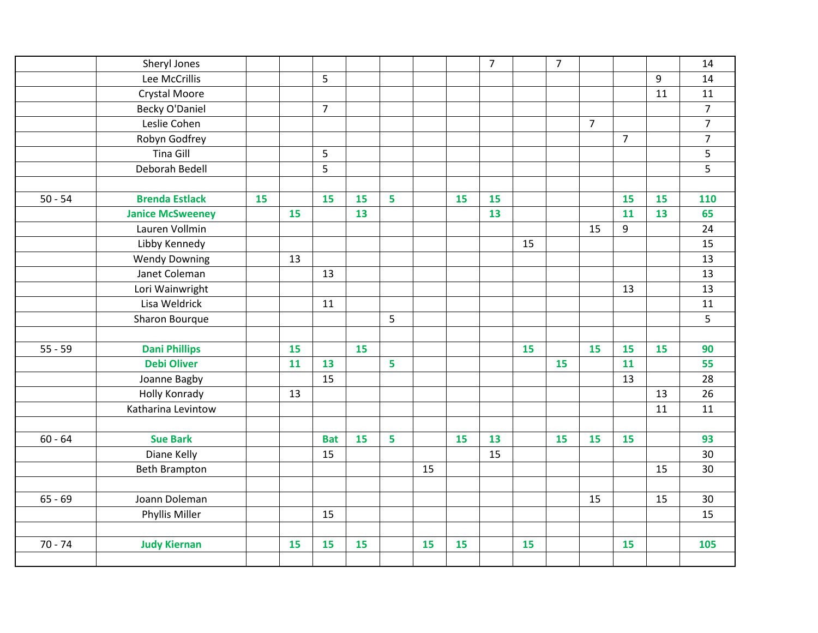|           | Sheryl Jones            |    |    |                |    |   |    |    | $\overline{7}$ |    | $\overline{7}$ |                |                |    | 14             |
|-----------|-------------------------|----|----|----------------|----|---|----|----|----------------|----|----------------|----------------|----------------|----|----------------|
|           | Lee McCrillis           |    |    | 5              |    |   |    |    |                |    |                |                |                | 9  | 14             |
|           | Crystal Moore           |    |    |                |    |   |    |    |                |    |                |                |                | 11 | $11\,$         |
|           | <b>Becky O'Daniel</b>   |    |    | $\overline{7}$ |    |   |    |    |                |    |                |                |                |    | $\overline{7}$ |
|           | Leslie Cohen            |    |    |                |    |   |    |    |                |    |                | $\overline{7}$ |                |    | $\overline{7}$ |
|           | Robyn Godfrey           |    |    |                |    |   |    |    |                |    |                |                | $\overline{7}$ |    | $\overline{7}$ |
|           | <b>Tina Gill</b>        |    |    | 5              |    |   |    |    |                |    |                |                |                |    | 5              |
|           | Deborah Bedell          |    |    | 5              |    |   |    |    |                |    |                |                |                |    | 5              |
|           |                         |    |    |                |    |   |    |    |                |    |                |                |                |    |                |
| $50 - 54$ | <b>Brenda Estlack</b>   | 15 |    | 15             | 15 | 5 |    | 15 | 15             |    |                |                | 15             | 15 | 110            |
|           | <b>Janice McSweeney</b> |    | 15 |                | 13 |   |    |    | 13             |    |                |                | 11             | 13 | 65             |
|           | Lauren Vollmin          |    |    |                |    |   |    |    |                |    |                | 15             | 9              |    | 24             |
|           | Libby Kennedy           |    |    |                |    |   |    |    |                | 15 |                |                |                |    | 15             |
|           | <b>Wendy Downing</b>    |    | 13 |                |    |   |    |    |                |    |                |                |                |    | 13             |
|           | Janet Coleman           |    |    | 13             |    |   |    |    |                |    |                |                |                |    | 13             |
|           | Lori Wainwright         |    |    |                |    |   |    |    |                |    |                |                | 13             |    | 13             |
|           | Lisa Weldrick           |    |    | 11             |    |   |    |    |                |    |                |                |                |    | $11\,$         |
|           | Sharon Bourque          |    |    |                |    | 5 |    |    |                |    |                |                |                |    | 5              |
|           |                         |    |    |                |    |   |    |    |                |    |                |                |                |    |                |
| $55 - 59$ | <b>Dani Phillips</b>    |    | 15 |                | 15 |   |    |    |                | 15 |                | 15             | 15             | 15 | 90             |
|           | <b>Debi Oliver</b>      |    | 11 | 13             |    | 5 |    |    |                |    | 15             |                | 11             |    | 55             |
|           | Joanne Bagby            |    |    | 15             |    |   |    |    |                |    |                |                | 13             |    | 28             |
|           | <b>Holly Konrady</b>    |    | 13 |                |    |   |    |    |                |    |                |                |                | 13 | 26             |
|           | Katharina Levintow      |    |    |                |    |   |    |    |                |    |                |                |                | 11 | 11             |
|           |                         |    |    |                |    |   |    |    |                |    |                |                |                |    |                |
| $60 - 64$ | <b>Sue Bark</b>         |    |    | <b>Bat</b>     | 15 | 5 |    | 15 | 13             |    | 15             | 15             | 15             |    | 93             |
|           | Diane Kelly             |    |    | 15             |    |   |    |    | 15             |    |                |                |                |    | 30             |
|           | <b>Beth Brampton</b>    |    |    |                |    |   | 15 |    |                |    |                |                |                | 15 | 30             |
|           |                         |    |    |                |    |   |    |    |                |    |                |                |                |    |                |
| $65 - 69$ | Joann Doleman           |    |    |                |    |   |    |    |                |    |                | 15             |                | 15 | 30             |
|           | Phyllis Miller          |    |    | 15             |    |   |    |    |                |    |                |                |                |    | 15             |
|           |                         |    |    |                |    |   |    |    |                |    |                |                |                |    |                |
| $70 - 74$ | <b>Judy Kiernan</b>     |    | 15 | 15             | 15 |   | 15 | 15 |                | 15 |                |                | 15             |    | 105            |
|           |                         |    |    |                |    |   |    |    |                |    |                |                |                |    |                |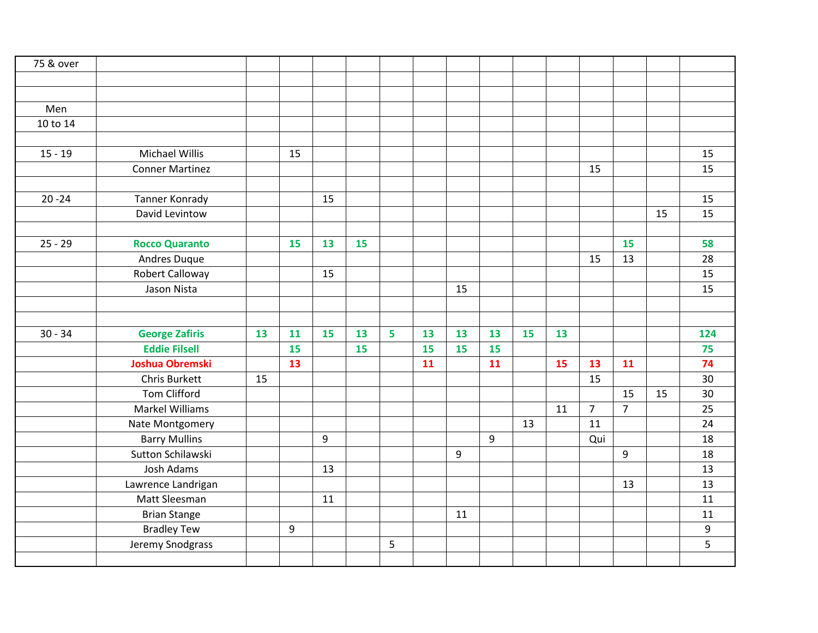| 75 & over |                        |    |    |    |           |   |    |    |    |    |           |                |                |    |     |
|-----------|------------------------|----|----|----|-----------|---|----|----|----|----|-----------|----------------|----------------|----|-----|
|           |                        |    |    |    |           |   |    |    |    |    |           |                |                |    |     |
|           |                        |    |    |    |           |   |    |    |    |    |           |                |                |    |     |
| Men       |                        |    |    |    |           |   |    |    |    |    |           |                |                |    |     |
| 10 to 14  |                        |    |    |    |           |   |    |    |    |    |           |                |                |    |     |
|           |                        |    |    |    |           |   |    |    |    |    |           |                |                |    |     |
| $15 - 19$ | Michael Willis         |    | 15 |    |           |   |    |    |    |    |           |                |                |    | 15  |
|           | <b>Conner Martinez</b> |    |    |    |           |   |    |    |    |    |           | 15             |                |    | 15  |
|           |                        |    |    |    |           |   |    |    |    |    |           |                |                |    |     |
| $20 - 24$ | Tanner Konrady         |    |    | 15 |           |   |    |    |    |    |           |                |                |    | 15  |
|           | David Levintow         |    |    |    |           |   |    |    |    |    |           |                |                | 15 | 15  |
|           |                        |    |    |    |           |   |    |    |    |    |           |                |                |    |     |
| $25 - 29$ | <b>Rocco Quaranto</b>  |    | 15 | 13 | <b>15</b> |   |    |    |    |    |           |                | 15             |    | 58  |
|           | Andres Duque           |    |    |    |           |   |    |    |    |    |           | 15             | 13             |    | 28  |
|           | <b>Robert Calloway</b> |    |    | 15 |           |   |    |    |    |    |           |                |                |    | 15  |
|           | Jason Nista            |    |    |    |           |   |    | 15 |    |    |           |                |                |    | 15  |
|           |                        |    |    |    |           |   |    |    |    |    |           |                |                |    |     |
|           |                        |    |    |    |           |   |    |    |    |    |           |                |                |    |     |
| $30 - 34$ | <b>George Zafiris</b>  | 13 | 11 | 15 | 13        | 5 | 13 | 13 | 13 | 15 | 13        |                |                |    | 124 |
|           | <b>Eddie Filsell</b>   |    | 15 |    | 15        |   | 15 | 15 | 15 |    |           |                |                |    | 75  |
|           | <b>Joshua Obremski</b> |    | 13 |    |           |   | 11 |    | 11 |    | <b>15</b> | 13             | 11             |    | 74  |
|           | Chris Burkett          | 15 |    |    |           |   |    |    |    |    |           | 15             |                |    | 30  |
|           | <b>Tom Clifford</b>    |    |    |    |           |   |    |    |    |    |           |                | 15             | 15 | 30  |
|           | Markel Williams        |    |    |    |           |   |    |    |    |    | 11        | $\overline{7}$ | $\overline{7}$ |    | 25  |
|           | Nate Montgomery        |    |    |    |           |   |    |    |    | 13 |           | 11             |                |    | 24  |
|           | <b>Barry Mullins</b>   |    |    | 9  |           |   |    |    | 9  |    |           | Qui            |                |    | 18  |
|           | Sutton Schilawski      |    |    |    |           |   |    | 9  |    |    |           |                | 9              |    | 18  |
|           | Josh Adams             |    |    | 13 |           |   |    |    |    |    |           |                |                |    | 13  |
|           | Lawrence Landrigan     |    |    |    |           |   |    |    |    |    |           |                | 13             |    | 13  |
|           | Matt Sleesman          |    |    | 11 |           |   |    |    |    |    |           |                |                |    | 11  |
|           | <b>Brian Stange</b>    |    |    |    |           |   |    | 11 |    |    |           |                |                |    | 11  |
|           | <b>Bradley Tew</b>     |    | 9  |    |           |   |    |    |    |    |           |                |                |    | 9   |
|           | Jeremy Snodgrass       |    |    |    |           | 5 |    |    |    |    |           |                |                |    | 5   |
|           |                        |    |    |    |           |   |    |    |    |    |           |                |                |    |     |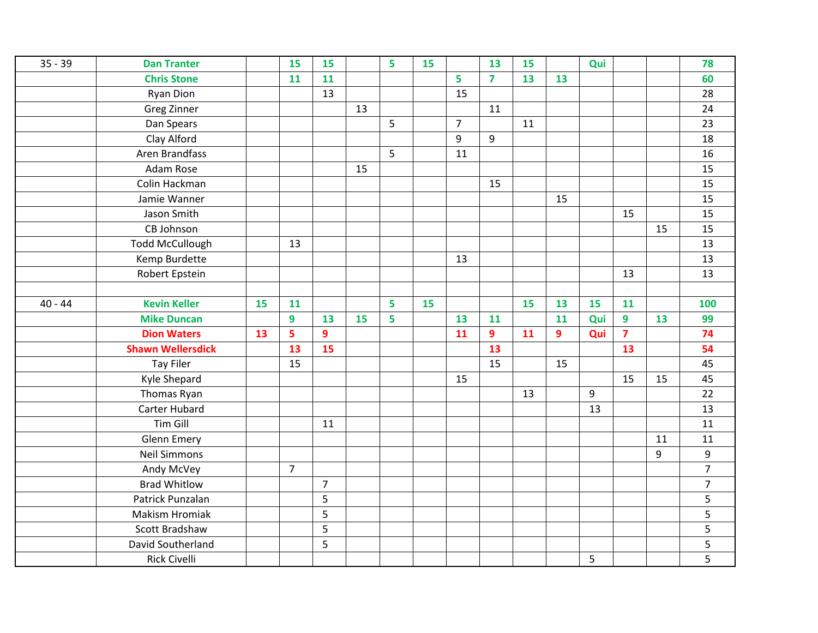| $35 - 39$ | <b>Dan Tranter</b>       |    | <b>15</b>      | 15             |    | 5 | 15 |                | 13             | 15 |    | Qui |                         |    | 78             |
|-----------|--------------------------|----|----------------|----------------|----|---|----|----------------|----------------|----|----|-----|-------------------------|----|----------------|
|           | <b>Chris Stone</b>       |    | 11             | 11             |    |   |    | 5              | $\overline{7}$ | 13 | 13 |     |                         |    | 60             |
|           | <b>Ryan Dion</b>         |    |                | 13             |    |   |    | 15             |                |    |    |     |                         |    | 28             |
|           | Greg Zinner              |    |                |                | 13 |   |    |                | 11             |    |    |     |                         |    | 24             |
|           | Dan Spears               |    |                |                |    | 5 |    | $\overline{7}$ |                | 11 |    |     |                         |    | 23             |
|           | Clay Alford              |    |                |                |    |   |    | 9              | 9              |    |    |     |                         |    | 18             |
|           | Aren Brandfass           |    |                |                |    | 5 |    | 11             |                |    |    |     |                         |    | 16             |
|           | Adam Rose                |    |                |                | 15 |   |    |                |                |    |    |     |                         |    | 15             |
|           | Colin Hackman            |    |                |                |    |   |    |                | 15             |    |    |     |                         |    | 15             |
|           | Jamie Wanner             |    |                |                |    |   |    |                |                |    | 15 |     |                         |    | 15             |
|           | Jason Smith              |    |                |                |    |   |    |                |                |    |    |     | 15                      |    | 15             |
|           | CB Johnson               |    |                |                |    |   |    |                |                |    |    |     |                         | 15 | 15             |
|           | <b>Todd McCullough</b>   |    | 13             |                |    |   |    |                |                |    |    |     |                         |    | 13             |
|           | Kemp Burdette            |    |                |                |    |   |    | 13             |                |    |    |     |                         |    | 13             |
|           | Robert Epstein           |    |                |                |    |   |    |                |                |    |    |     | 13                      |    | 13             |
|           |                          |    |                |                |    |   |    |                |                |    |    |     |                         |    |                |
| $40 - 44$ | <b>Kevin Keller</b>      | 15 | 11             |                |    | 5 | 15 |                |                | 15 | 13 | 15  | 11                      |    | 100            |
|           | <b>Mike Duncan</b>       |    | 9              | 13             | 15 | 5 |    | 13             | 11             |    | 11 | Qui | $\boldsymbol{9}$        | 13 | 99             |
|           | <b>Dion Waters</b>       | 13 | 5              | 9              |    |   |    | 11             | 9              | 11 | 9  | Qui | $\overline{\mathbf{z}}$ |    | 74             |
|           | <b>Shawn Wellersdick</b> |    | 13             | 15             |    |   |    |                | 13             |    |    |     | 13                      |    | 54             |
|           | <b>Tay Filer</b>         |    | 15             |                |    |   |    |                | 15             |    | 15 |     |                         |    | 45             |
|           | Kyle Shepard             |    |                |                |    |   |    | 15             |                |    |    |     | 15                      | 15 | 45             |
|           | Thomas Ryan              |    |                |                |    |   |    |                |                | 13 |    | 9   |                         |    | 22             |
|           | Carter Hubard            |    |                |                |    |   |    |                |                |    |    | 13  |                         |    | 13             |
|           | Tim Gill                 |    |                | 11             |    |   |    |                |                |    |    |     |                         |    | 11             |
|           | <b>Glenn Emery</b>       |    |                |                |    |   |    |                |                |    |    |     |                         | 11 | 11             |
|           | <b>Neil Simmons</b>      |    |                |                |    |   |    |                |                |    |    |     |                         | 9  | 9              |
|           | Andy McVey               |    | $\overline{7}$ |                |    |   |    |                |                |    |    |     |                         |    | $\overline{7}$ |
|           | <b>Brad Whitlow</b>      |    |                | $\overline{7}$ |    |   |    |                |                |    |    |     |                         |    | $\overline{7}$ |
|           | Patrick Punzalan         |    |                | 5              |    |   |    |                |                |    |    |     |                         |    | 5              |
|           | <b>Makism Hromiak</b>    |    |                | 5              |    |   |    |                |                |    |    |     |                         |    | 5              |
|           | Scott Bradshaw           |    |                | 5              |    |   |    |                |                |    |    |     |                         |    | 5              |
|           | David Southerland        |    |                | 5              |    |   |    |                |                |    |    |     |                         |    | 5              |
|           | <b>Rick Civelli</b>      |    |                |                |    |   |    |                |                |    |    | 5   |                         |    | 5              |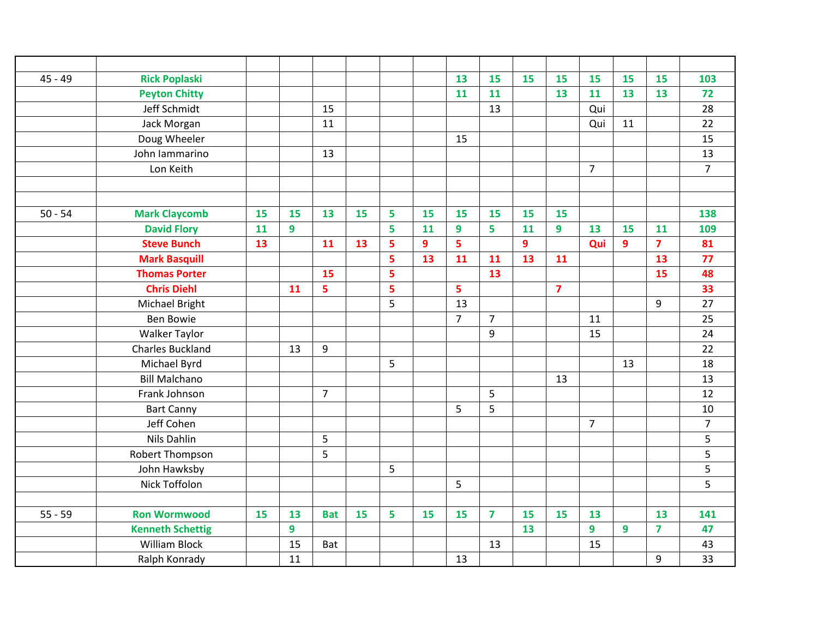| $45 - 49$ | <b>Rick Poplaski</b>    |    |    |                |    |   |    | 13             | 15             | 15             | 15                      | 15             | 15               | 15             | 103            |
|-----------|-------------------------|----|----|----------------|----|---|----|----------------|----------------|----------------|-------------------------|----------------|------------------|----------------|----------------|
|           | <b>Peyton Chitty</b>    |    |    |                |    |   |    | 11             | 11             |                | 13                      | 11             | 13               | 13             | 72             |
|           | Jeff Schmidt            |    |    | 15             |    |   |    |                | 13             |                |                         | Qui            |                  |                | 28             |
|           | Jack Morgan             |    |    | 11             |    |   |    |                |                |                |                         | Qui            | 11               |                | 22             |
|           | Doug Wheeler            |    |    |                |    |   |    | 15             |                |                |                         |                |                  |                | 15             |
|           | John Iammarino          |    |    | 13             |    |   |    |                |                |                |                         |                |                  |                | 13             |
|           | Lon Keith               |    |    |                |    |   |    |                |                |                |                         | $\overline{7}$ |                  |                | $\overline{7}$ |
|           |                         |    |    |                |    |   |    |                |                |                |                         |                |                  |                |                |
|           |                         |    |    |                |    |   |    |                |                |                |                         |                |                  |                |                |
| $50 - 54$ | <b>Mark Claycomb</b>    | 15 | 15 | 13             | 15 | 5 | 15 | 15             | 15             | 15             | 15                      |                |                  |                | 138            |
|           | <b>David Flory</b>      | 11 | 9  |                |    | 5 | 11 | 9              | 5              | 11             | 9                       | 13             | 15               | 11             | 109            |
|           | <b>Steve Bunch</b>      | 13 |    | 11             | 13 | 5 | 9  | 5              |                | $\overline{9}$ |                         | Qui            | $\boldsymbol{9}$ | $\overline{7}$ | 81             |
|           | <b>Mark Basquill</b>    |    |    |                |    | 5 | 13 | 11             | 11             | 13             | 11                      |                |                  | 13             | 77             |
|           | <b>Thomas Porter</b>    |    |    | 15             |    | 5 |    |                | 13             |                |                         |                |                  | 15             | 48             |
|           | <b>Chris Diehl</b>      |    | 11 | $\overline{5}$ |    | 5 |    | 5              |                |                | $\overline{\mathbf{z}}$ |                |                  |                | 33             |
|           | Michael Bright          |    |    |                |    | 5 |    | 13             |                |                |                         |                |                  | 9              | 27             |
|           | <b>Ben Bowie</b>        |    |    |                |    |   |    | $\overline{7}$ | $\overline{7}$ |                |                         | 11             |                  |                | 25             |
|           | <b>Walker Taylor</b>    |    |    |                |    |   |    |                | 9              |                |                         | 15             |                  |                | 24             |
|           | <b>Charles Buckland</b> |    | 13 | 9              |    |   |    |                |                |                |                         |                |                  |                | 22             |
|           | Michael Byrd            |    |    |                |    | 5 |    |                |                |                |                         |                | 13               |                | 18             |
|           | <b>Bill Malchano</b>    |    |    |                |    |   |    |                |                |                | 13                      |                |                  |                | 13             |
|           | Frank Johnson           |    |    | $\overline{7}$ |    |   |    |                | 5              |                |                         |                |                  |                | 12             |
|           | <b>Bart Canny</b>       |    |    |                |    |   |    | 5              | 5              |                |                         |                |                  |                | 10             |
|           | Jeff Cohen              |    |    |                |    |   |    |                |                |                |                         | $\overline{7}$ |                  |                | $\overline{7}$ |
|           | Nils Dahlin             |    |    | 5              |    |   |    |                |                |                |                         |                |                  |                | 5              |
|           | Robert Thompson         |    |    | 5              |    |   |    |                |                |                |                         |                |                  |                | 5              |
|           | John Hawksby            |    |    |                |    | 5 |    |                |                |                |                         |                |                  |                | 5              |
|           | Nick Toffolon           |    |    |                |    |   |    | 5              |                |                |                         |                |                  |                | 5              |
|           |                         |    |    |                |    |   |    |                |                |                |                         |                |                  |                |                |
| $55 - 59$ | <b>Ron Wormwood</b>     | 15 | 13 | <b>Bat</b>     | 15 | 5 | 15 | 15             | $\overline{7}$ | 15             | 15                      | 13             |                  | 13             | 141            |
|           | <b>Kenneth Schettig</b> |    | 9  |                |    |   |    |                |                | 13             |                         | 9              | $\overline{9}$   | $\overline{7}$ | 47             |
|           | <b>William Block</b>    |    | 15 | Bat            |    |   |    |                | 13             |                |                         | 15             |                  |                | 43             |
|           | Ralph Konrady           |    | 11 |                |    |   |    | 13             |                |                |                         |                |                  | 9              | 33             |